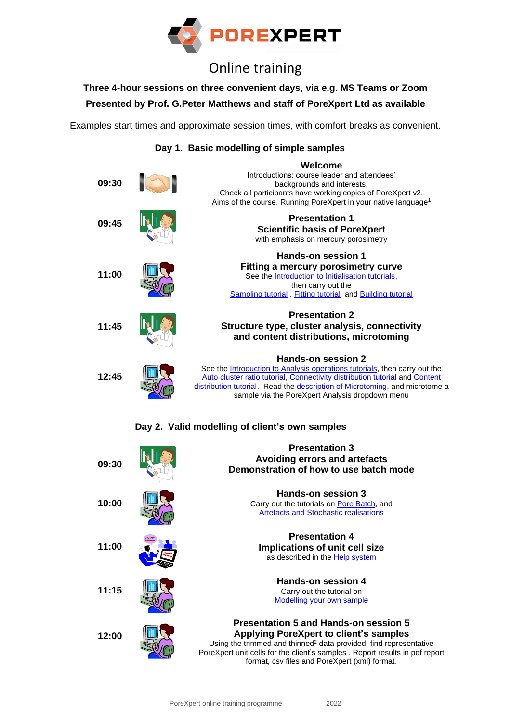

## Online training

**Three 4-hour sessions on three convenient days, via e.g. MS Teams or Zoom**

**Presented by Prof. G.Peter Matthews and staff of PoreXpert Ltd as available**

Examples start times and approximate session times, with comfort breaks as convenient.

**Day 1. Basic modelling of simple samples**



## **Day 2. Valid modelling of client's own samples**